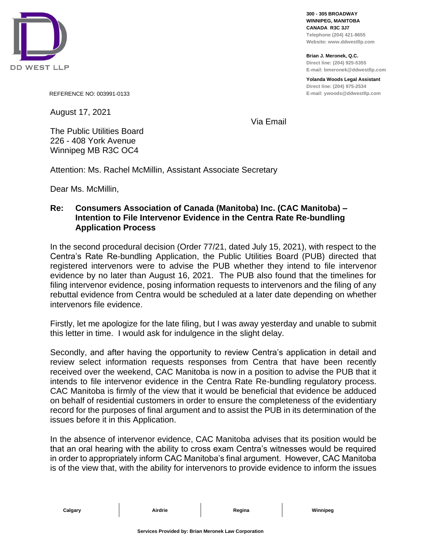

**300 - 305 BROADWAY WINNIPEG, MANITOBA CANADA R3C 3J7 Telephone (204) 421-8655 Website: www.ddwestllp.com**

**Brian J. Meronek, Q.C. Direct line: (204) 925-5355 E-mail: bmeronek@ddwestllp.com**

**Yolanda Woods Legal Assistant Direct line: (204) 975-2534 E-mail: ywoods@ddwestllp.com**

REFERENCE NO: 003991-0133

August 17, 2021

Via Email

The Public Utilities Board 226 - 408 York Avenue Winnipeg MB R3C OC4

Attention: Ms. Rachel McMillin, Assistant Associate Secretary

Dear Ms. McMillin,

## **Re: Consumers Association of Canada (Manitoba) Inc. (CAC Manitoba) – Intention to File Intervenor Evidence in the Centra Rate Re-bundling Application Process**

In the second procedural decision (Order 77/21, dated July 15, 2021), with respect to the Centra's Rate Re-bundling Application, the Public Utilities Board (PUB) directed that registered intervenors were to advise the PUB whether they intend to file intervenor evidence by no later than August 16, 2021. The PUB also found that the timelines for filing intervenor evidence, posing information requests to intervenors and the filing of any rebuttal evidence from Centra would be scheduled at a later date depending on whether intervenors file evidence.

Firstly, let me apologize for the late filing, but I was away yesterday and unable to submit this letter in time. I would ask for indulgence in the slight delay.

Secondly, and after having the opportunity to review Centra's application in detail and review select information requests responses from Centra that have been recently received over the weekend, CAC Manitoba is now in a position to advise the PUB that it intends to file intervenor evidence in the Centra Rate Re-bundling regulatory process. CAC Manitoba is firmly of the view that it would be beneficial that evidence be adduced on behalf of residential customers in order to ensure the completeness of the evidentiary record for the purposes of final argument and to assist the PUB in its determination of the issues before it in this Application.

In the absence of intervenor evidence, CAC Manitoba advises that its position would be that an oral hearing with the ability to cross exam Centra's witnesses would be required in order to appropriately inform CAC Manitoba's final argument. However, CAC Manitoba is of the view that, with the ability for intervenors to provide evidence to inform the issues